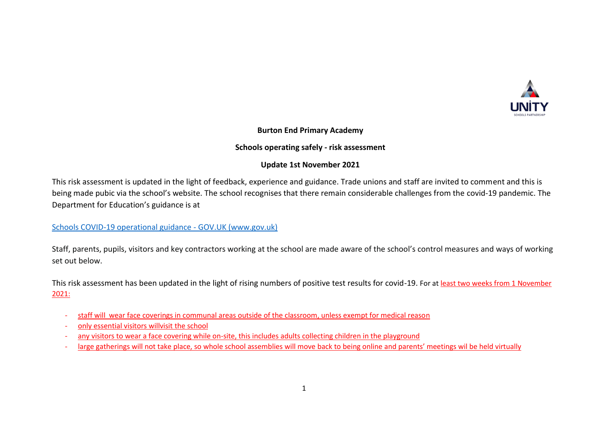

#### **Burton End Primary Academy**

### **Schools operating safely - risk assessment**

### **Update 1st November 2021**

This risk assessment is updated in the light of feedback, experience and guidance. Trade unions and staff are invited to comment and this is being made pubic via the school's website. The school recognises that there remain considerable challenges from the covid-19 pandemic. The Department for Education's guidance is at

[Schools COVID-19 operational guidance -](https://www.gov.uk/government/publications/actions-for-schools-during-the-coronavirus-outbreak/schools-covid-19-operational-guidance?utm_source=19%20July%202021%20C19&utm_medium=Daily%20Email%20C19&utm_campaign=DfE%20C19) GOV.UK (www.gov.uk)

Staff, parents, pupils, visitors and key contractors working at the school are made aware of the school's control measures and ways of working set out below.

This risk assessment has been updated in the light of rising numbers of positive test results for covid-19. For at least two weeks from 1 November 2021:

- staff will wear face coverings in communal areas outside of the classroom, unless exempt for medical reason
- only essential visitors willvisit the school
- any visitors to wear a face covering while on-site, this includes adults collecting children in the playground
- large gatherings will not take place, so whole school assemblies will move back to being online and parents' meetings wil be held virtually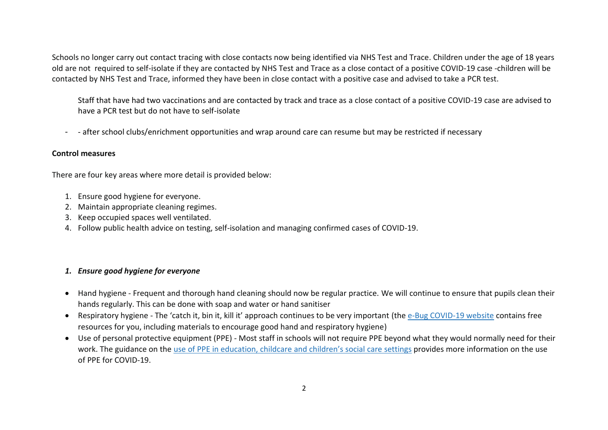Schools no longer carry out contact tracing with close contacts now being identified via NHS Test and Trace. Children under the age of 18 years old are not required to self-isolate if they are contacted by NHS Test and Trace as a close contact of a positive COVID-19 case -children will be contacted by NHS Test and Trace, informed they have been in close contact with a positive case and advised to take a PCR test.

Staff that have had two vaccinations and are contacted by track and trace as a close contact of a positive COVID-19 case are advised to have a PCR test but do not have to self-isolate

- - after school clubs/enrichment opportunities and wrap around care can resume but may be restricted if necessary

#### **Control measures**

There are four key areas where more detail is provided below:

- 1. Ensure good hygiene for everyone.
- 2. Maintain appropriate cleaning regimes.
- 3. Keep occupied spaces well ventilated.
- 4. Follow public health advice on testing, self-isolation and managing confirmed cases of COVID-19.

### *1. Ensure good hygiene for everyone*

- Hand hygiene Frequent and thorough hand cleaning should now be regular practice. We will continue to ensure that pupils clean their hands regularly. This can be done with soap and water or hand sanitiser
- Respiratory hygiene The 'catch it, bin it, kill it' approach continues to be very important (the e-Bug [COVID-19](https://e-bug.eu/eng_home.aspx?cc=eng&ss=1&t=Information%20about%20the%20Coronavirus) website contains free resources for you, including materials to encourage good hand and respiratory hygiene)
- Use of personal protective equipment (PPE) Most staff in schools will not require PPE beyond what they would normally need for their work. The guidance on the use of PPE in [education,](https://www.gov.uk/government/publications/safe-working-in-education-childcare-and-childrens-social-care) childcare and children's social care settings provides more information on the use of PPE for COVID-19.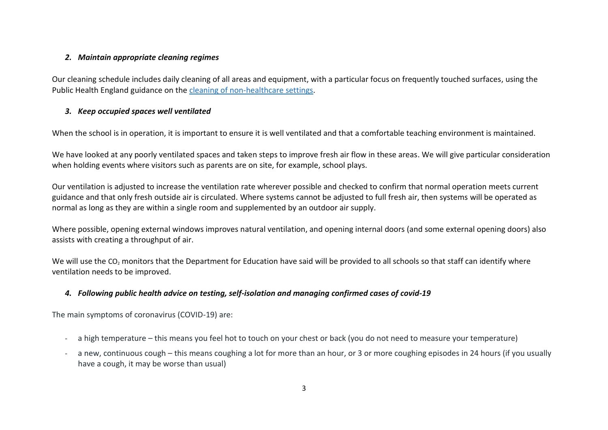#### *2. Maintain appropriate cleaning regimes*

Our cleaning schedule includes daily cleaning of all areas and equipment, with a particular focus on frequently touched surfaces, using the Public Health England guidance on the cleaning of [non-healthcare](https://www.gov.uk/government/publications/covid-19-decontamination-in-non-healthcare-settings) settings.

## *3. Keep occupied spaces well ventilated*

When the school is in operation, it is important to ensure it is well ventilated and that a comfortable teaching environment is maintained.

We have looked at any poorly ventilated spaces and taken steps to improve fresh air flow in these areas. We will give particular consideration when holding events where visitors such as parents are on site, for example, school plays.

Our ventilation is adjusted to increase the ventilation rate wherever possible and checked to confirm that normal operation meets current guidance and that only fresh outside air is circulated. Where systems cannot be adjusted to full fresh air, then systems will be operated as normal as long as they are within a single room and supplemented by an outdoor air supply.

Where possible, opening external windows improves natural ventilation, and opening internal doors (and some external opening doors) also assists with creating a throughput of air.

We will use the CO<sub>2</sub> monitors that the Department for Education have said will be provided to all schools so that staff can identify where ventilation needs to be improved.

# *4. Following public health advice on testing, self-isolation and managing confirmed cases of covid-19*

The main symptoms of coronavirus (COVID-19) are:

- a high temperature this means you feel hot to touch on your chest or back (you do not need to measure your temperature)
- a new, continuous cough this means coughing a lot for more than an hour, or 3 or more coughing episodes in 24 hours (if you usually have a cough, it may be worse than usual)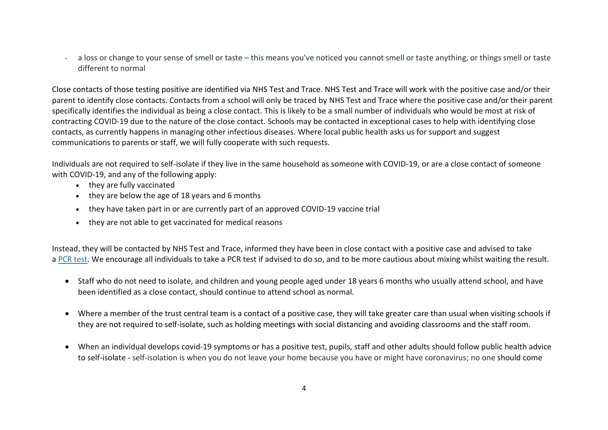a loss or change to your sense of smell or taste – this means you've noticed you cannot smell or taste anything, or things smell or taste different to normal

Close contacts of those testing positive are identified via NHS Test and Trace. NHS Test and Trace will work with the positive case and/or their parent to identify close contacts. Contacts from a school will only be traced by NHS Test and Trace where the positive case and/or their parent specifically identifies the individual as being a close contact. This is likely to be a small number of individuals who would be most at risk of contracting COVID-19 due to the nature of the close contact. Schools may be contacted in exceptional cases to help with identifying close contacts, as currently happens in managing other infectious diseases. Where local public health asks us for support and suggest communications to parents or staff, we will fully cooperate with such requests.

Individuals are not required to self-isolate if they live in the same household as someone with COVID-19, or are a close contact of someone with COVID-19, and any of the following apply:

- they are fully vaccinated
- they are below the age of 18 years and 6 months
- they have taken part in or are currently part of an approved COVID-19 vaccine trial
- they are not able to get vaccinated for medical reasons

Instead, they will be contacted by NHS Test and Trace, informed they have been in close contact with a positive case and advised to take a PCR [test.](https://www.gov.uk/get-coronavirus-test) We encourage all individuals to take a PCR test if advised to do so, and to be more cautious about mixing whilst waiting the result.

- Staff who do not need to isolate, and children and young people aged under 18 years 6 months who usually attend school, and have been identified as a close contact, should continue to attend school as normal.
- Where a member of the trust central team is a contact of a positive case, they will take greater care than usual when visiting schools if they are not required to self-isolate, such as holding meetings with social distancing and avoiding classrooms and the staff room.
- When an individual develops covid-19 symptoms or has a positive test, pupils, staff and other adults should follow public health advice to self-isolate - self-isolation is when you do not leave your home because you have or might have coronavirus; no one should come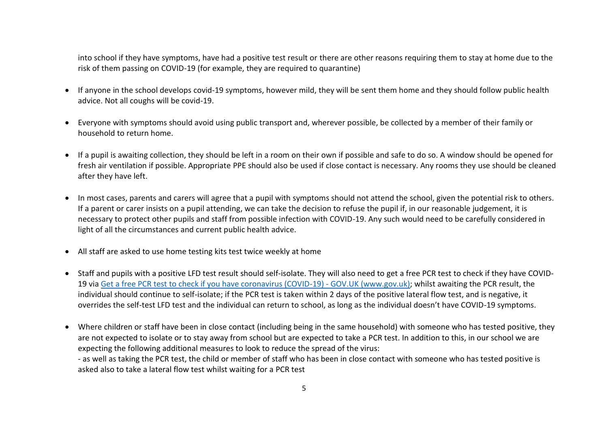into school if they have symptoms, have had a positive test result or there are other reasons requiring them to stay at home due to the risk of them passing on COVID-19 (for example, they are required to quarantine)

- If anyone in the school develops covid-19 symptoms, however mild, they will be sent them home and they should follow public health advice. Not all coughs will be covid-19.
- Everyone with symptoms should avoid using public transport and, wherever possible, be collected by a member of their family or household to return home.
- If a pupil is awaiting collection, they should be left in a room on their own if possible and safe to do so. A window should be opened for fresh air ventilation if possible. Appropriate PPE should also be used if close contact is necessary. Any rooms they use should be cleaned after they have left.
- In most cases, parents and carers will agree that a pupil with symptoms should not attend the school, given the potential risk to others. If a parent or carer insists on a pupil attending, we can take the decision to refuse the pupil if, in our reasonable judgement, it is necessary to protect other pupils and staff from possible infection with COVID-19. Any such would need to be carefully considered in light of all the circumstances and current public health advice.
- All staff are asked to use home testing kits test twice weekly at home
- Staff and pupils with a positive LFD test result should self-isolate. They will also need to get a free PCR test to check if they have [COVID-](https://www.gov.uk/get-coronavirus-test)[19](https://www.gov.uk/get-coronavirus-test) via [Get a free PCR test to check if you have coronavirus \(COVID-19\) -](https://www.gov.uk/get-coronavirus-test) GOV.UK (www.gov.uk); whilst awaiting the PCR result, the individual should continue to self-isolate; if the PCR test is taken within 2 days of the positive lateral flow test, and is negative, it overrides the self-test LFD test and the individual can return to school, as long as the individual doesn't have COVID-19 symptoms.
- Where children or staff have been in close contact (including being in the same household) with someone who has tested positive, they are not expected to isolate or to stay away from school but are expected to take a PCR test. In addition to this, in our school we are expecting the following additional measures to look to reduce the spread of the virus: - as well as taking the PCR test, the child or member of staff who has been in close contact with someone who has tested positive is asked also to take a lateral flow test whilst waiting for a PCR test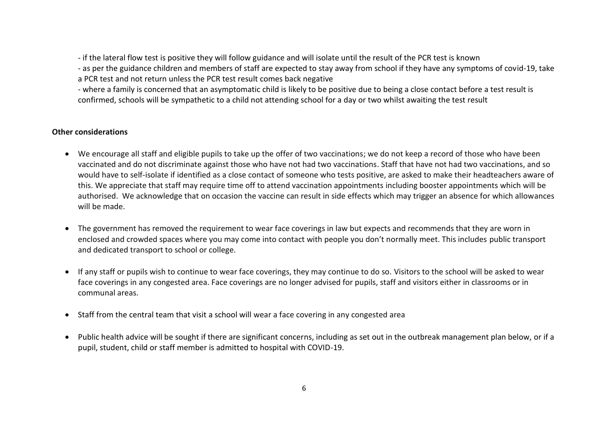- if the lateral flow test is positive they will follow guidance and will isolate until the result of the PCR test is known

- as per the guidance children and members of staff are expected to stay away from school if they have any symptoms of covid-19, take

a PCR test and not return unless the PCR test result comes back negative

- where a family is concerned that an asymptomatic child is likely to be positive due to being a close contact before a test result is confirmed, schools will be sympathetic to a child not attending school for a day or two whilst awaiting the test result

#### **Other considerations**

- We encourage all staff and eligible pupils to take up the offer of two vaccinations; we do not keep a record of those who have been vaccinated and do not discriminate against those who have not had two vaccinations. Staff that have not had two vaccinations, and so would have to self-isolate if identified as a close contact of someone who tests positive, are asked to make their headteachers aware of this. We appreciate that staff may require time off to attend vaccination appointments including booster appointments which will be authorised. We acknowledge that on occasion the vaccine can result in side effects which may trigger an absence for which allowances will be made.
- The government has removed the requirement to wear face coverings in law but expects and recommends that they are worn in enclosed and crowded spaces where you may come into contact with people you don't normally meet. This includes public transport and dedicated transport to school or college.
- If any staff or pupils wish to continue to wear face coverings, they may continue to do so. Visitors to the school will be asked to wear face coverings in any congested area. Face coverings are no longer advised for pupils, staff and visitors either in classrooms or in communal areas.
- Staff from the central team that visit a school will wear a face covering in any congested area
- Public health advice will be sought if there are significant concerns, including as set out in the outbreak management plan below, or if a pupil, student, child or staff member is admitted to hospital with COVID-19.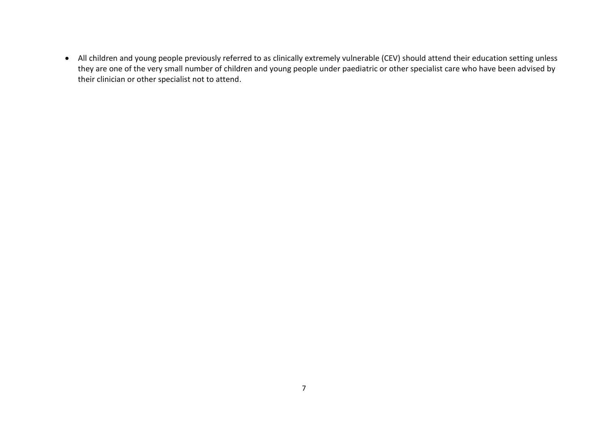All children and young people previously referred to as clinically extremely vulnerable (CEV) should attend their education setting unless they are one of the very small number of children and young people under paediatric or other specialist care who have been advised by their clinician or other specialist not to attend.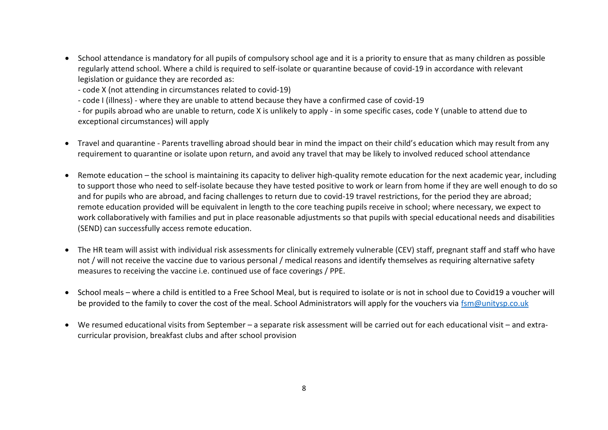School attendance is mandatory for all pupils of compulsory school age and it is a priority to ensure that as many children as possible regularly attend school. Where a child is required to self-isolate or quarantine because of covid-19 in accordance with relevant legislation or guidance they are recorded as:

- code X (not attending in circumstances related to covid-19)

- code I (illness) - where they are unable to attend because they have a confirmed case of covid-19

- for pupils abroad who are unable to return, code X is unlikely to apply - in some specific cases, code Y (unable to attend due to exceptional circumstances) will apply

- Travel and quarantine Parents travelling abroad should bear in mind the impact on their child's education which may result from any requirement to quarantine or isolate upon return, and avoid any travel that may be likely to involved reduced school attendance
- Remote education the school is maintaining its capacity to deliver high-quality remote education for the next academic year, including to support those who need to self-isolate because they have tested positive to work or learn from home if they are well enough to do so and for pupils who are abroad, and facing challenges to return due to covid-19 travel restrictions, for the period they are abroad; remote education provided will be equivalent in length to the core teaching pupils receive in school; where necessary, we expect to work collaboratively with families and put in place reasonable adjustments so that pupils with special educational needs and disabilities (SEND) can successfully access remote education.
- The HR team will assist with individual risk assessments for clinically extremely vulnerable (CEV) staff, pregnant staff and staff who have not / will not receive the vaccine due to various personal / medical reasons and identify themselves as requiring alternative safety measures to receiving the vaccine i.e. continued use of face coverings / PPE.
- School meals where a child is entitled to a Free School Meal, but is required to isolate or is not in school due to Covid19 a voucher will be provided to the family to cover the cost of the meal. School Administrators will apply for the vouchers via [fsm@unitysp.co.uk](mailto:fsm@unitysp.co.uk)
- We resumed educational visits from September a separate risk assessment will be carried out for each educational visit and extracurricular provision, breakfast clubs and after school provision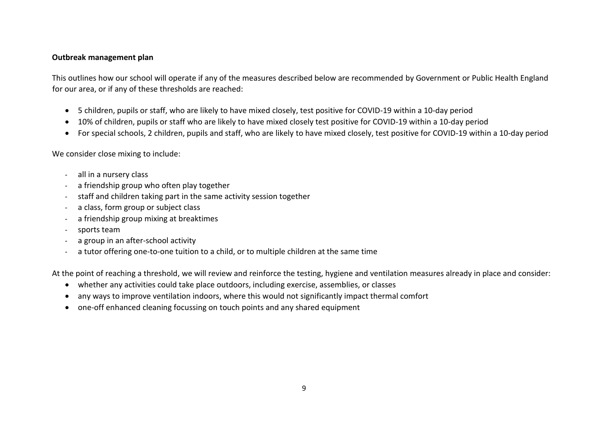#### **Outbreak management plan**

This outlines how our school will operate if any of the measures described below are recommended by Government or Public Health England for our area, or if any of these thresholds are reached:

- 5 children, pupils or staff, who are likely to have mixed closely, test positive for COVID-19 within a 10-day period
- 10% of children, pupils or staff who are likely to have mixed closely test positive for COVID-19 within a 10-day period
- For special schools, 2 children, pupils and staff, who are likely to have mixed closely, test positive for COVID-19 within a 10-day period

We consider close mixing to include:

- all in a nursery class
- a friendship group who often play together
- staff and children taking part in the same activity session together
- a class, form group or subject class
- a friendship group mixing at breaktimes
- sports team
- a group in an after-school activity
- a tutor offering one-to-one tuition to a child, or to multiple children at the same time

At the point of reaching a threshold, we will review and reinforce the testing, hygiene and ventilation measures already in place and consider:

- whether any activities could take place outdoors, including exercise, assemblies, or classes
- any ways to improve ventilation indoors, where this would not significantly impact thermal comfort
- one-off enhanced cleaning focussing on touch points and any shared equipment